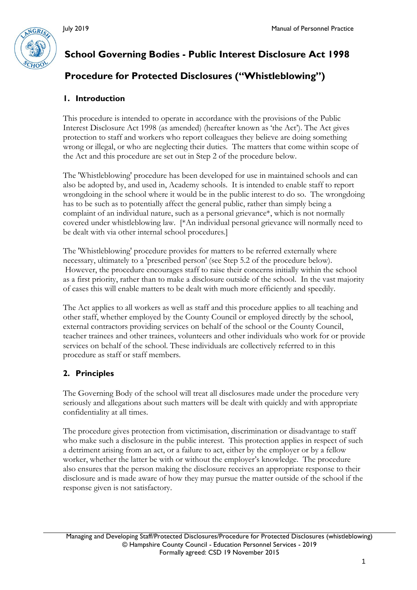

# **School Governing Bodies - Public Interest Disclosure Act 1998**

# **Procedure for Protected Disclosures ("Whistleblowing")**

#### **1. Introduction**

This procedure is intended to operate in accordance with the provisions of the Public Interest Disclosure Act 1998 (as amended) (hereafter known as 'the Act'). The Act gives protection to staff and workers who report colleagues they believe are doing something wrong or illegal, or who are neglecting their duties. The matters that come within scope of the Act and this procedure are set out in Step 2 of the procedure below.

The 'Whistleblowing' procedure has been developed for use in maintained schools and can also be adopted by, and used in, Academy schools. It is intended to enable staff to report wrongdoing in the school where it would be in the public interest to do so. The wrongdoing has to be such as to potentially affect the general public, rather than simply being a complaint of an individual nature, such as a personal grievance\*, which is not normally covered under whistleblowing law. [\*An individual personal grievance will normally need to be dealt with via other internal school procedures.]

The 'Whistleblowing' procedure provides for matters to be referred externally where necessary, ultimately to a 'prescribed person' (see Step 5.2 of the procedure below). However, the procedure encourages staff to raise their concerns initially within the school as a first priority, rather than to make a disclosure outside of the school. In the vast majority of cases this will enable matters to be dealt with much more efficiently and speedily.

The Act applies to all workers as well as staff and this procedure applies to all teaching and other staff, whether employed by the County Council or employed directly by the school, external contractors providing services on behalf of the school or the County Council, teacher trainees and other trainees, volunteers and other individuals who work for or provide services on behalf of the school. These individuals are collectively referred to in this procedure as staff or staff members.

#### **2. Principles**

The Governing Body of the school will treat all disclosures made under the procedure very seriously and allegations about such matters will be dealt with quickly and with appropriate confidentiality at all times.

The procedure gives protection from victimisation, discrimination or disadvantage to staff who make such a disclosure in the public interest. This protection applies in respect of such a detriment arising from an act, or a failure to act, either by the employer or by a fellow worker, whether the latter be with or without the employer's knowledge. The procedure also ensures that the person making the disclosure receives an appropriate response to their disclosure and is made aware of how they may pursue the matter outside of the school if the response given is not satisfactory.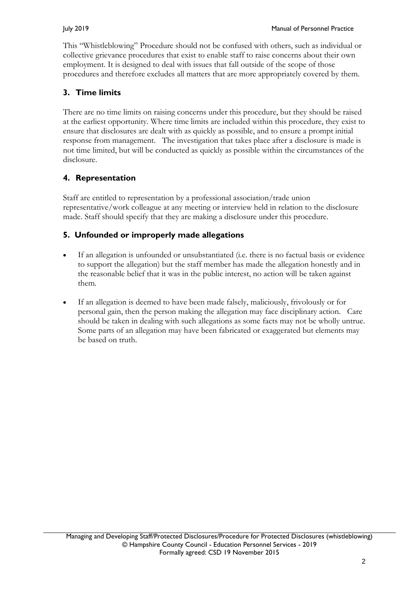This "Whistleblowing" Procedure should not be confused with others, such as individual or collective grievance procedures that exist to enable staff to raise concerns about their own employment. It is designed to deal with issues that fall outside of the scope of those procedures and therefore excludes all matters that are more appropriately covered by them.

## **3. Time limits**

There are no time limits on raising concerns under this procedure, but they should be raised at the earliest opportunity. Where time limits are included within this procedure, they exist to ensure that disclosures are dealt with as quickly as possible, and to ensure a prompt initial response from management. The investigation that takes place after a disclosure is made is not time limited, but will be conducted as quickly as possible within the circumstances of the disclosure.

## **4. Representation**

Staff are entitled to representation by a professional association/trade union representative/work colleague at any meeting or interview held in relation to the disclosure made. Staff should specify that they are making a disclosure under this procedure.

### **5. Unfounded or improperly made allegations**

- If an allegation is unfounded or unsubstantiated (i.e. there is no factual basis or evidence to support the allegation) but the staff member has made the allegation honestly and in the reasonable belief that it was in the public interest, no action will be taken against them.
- If an allegation is deemed to have been made falsely, maliciously, frivolously or for personal gain, then the person making the allegation may face disciplinary action. Care should be taken in dealing with such allegations as some facts may not be wholly untrue. Some parts of an allegation may have been fabricated or exaggerated but elements may be based on truth.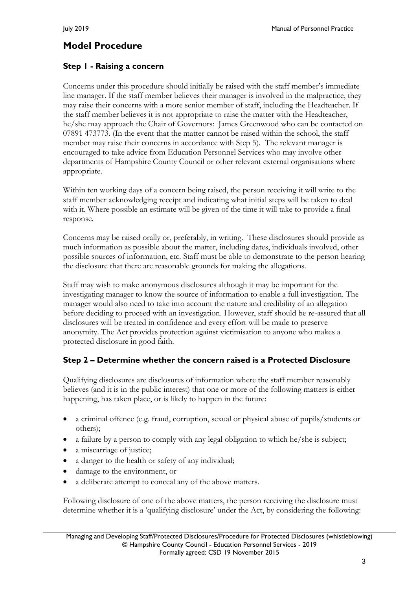# **Model Procedure**

#### **Step 1 - Raising a concern**

Concerns under this procedure should initially be raised with the staff member's immediate line manager. If the staff member believes their manager is involved in the malpractice, they may raise their concerns with a more senior member of staff, including the Headteacher. If the staff member believes it is not appropriate to raise the matter with the Headteacher, he/she may approach the Chair of Governors: James Greenwood who can be contacted on 07891 473773. (In the event that the matter cannot be raised within the school, the staff member may raise their concerns in accordance with Step 5). The relevant manager is encouraged to take advice from Education Personnel Services who may involve other departments of Hampshire County Council or other relevant external organisations where appropriate.

Within ten working days of a concern being raised, the person receiving it will write to the staff member acknowledging receipt and indicating what initial steps will be taken to deal with it. Where possible an estimate will be given of the time it will take to provide a final response.

Concerns may be raised orally or, preferably, in writing. These disclosures should provide as much information as possible about the matter, including dates, individuals involved, other possible sources of information, etc. Staff must be able to demonstrate to the person hearing the disclosure that there are reasonable grounds for making the allegations.

Staff may wish to make anonymous disclosures although it may be important for the investigating manager to know the source of information to enable a full investigation. The manager would also need to take into account the nature and credibility of an allegation before deciding to proceed with an investigation. However, staff should be re-assured that all disclosures will be treated in confidence and every effort will be made to preserve anonymity. The Act provides protection against victimisation to anyone who makes a protected disclosure in good faith.

#### **Step 2 – Determine whether the concern raised is a Protected Disclosure**

Qualifying disclosures are disclosures of information where the staff member reasonably believes (and it is in the public interest) that one or more of the following matters is either happening, has taken place, or is likely to happen in the future:

- a criminal offence (e.g. fraud, corruption, sexual or physical abuse of pupils/students or others);
- a failure by a person to comply with any legal obligation to which he/she is subject;
- a miscarriage of justice;
- a danger to the health or safety of any individual;
- damage to the environment, or
- a deliberate attempt to conceal any of the above matters.

Following disclosure of one of the above matters, the person receiving the disclosure must determine whether it is a 'qualifying disclosure' under the Act, by considering the following: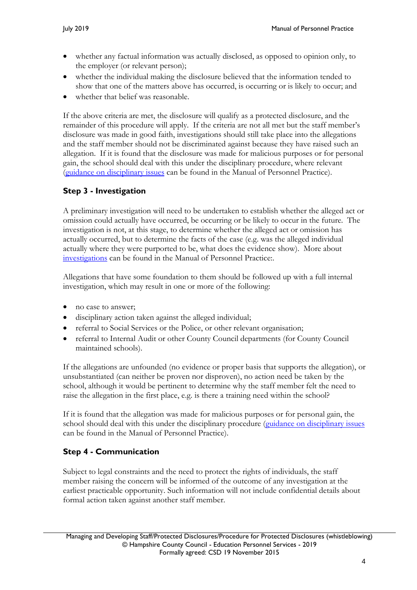- whether any factual information was actually disclosed, as opposed to opinion only, to the employer (or relevant person);
- whether the individual making the disclosure believed that the information tended to show that one of the matters above has occurred, is occurring or is likely to occur; and
- whether that belief was reasonable.

If the above criteria are met, the disclosure will qualify as a protected disclosure, and the remainder of this procedure will apply. If the criteria are not all met but the staff member's disclosure was made in good faith, investigations should still take place into the allegations and the staff member should not be discriminated against because they have raised such an allegation. If it is found that the disclosure was made for malicious purposes or for personal gain, the school should deal with this under the disciplinary procedure, where relevant [\(guidance on disciplinary issues](https://www.hants.gov.uk/educationandlearning/education-personnel-services/manual/managing-staff/discipline) can be found in the Manual of Personnel Practice).

## **Step 3 - Investigation**

A preliminary investigation will need to be undertaken to establish whether the alleged act or omission could actually have occurred, be occurring or be likely to occur in the future. The investigation is not, at this stage, to determine whether the alleged act or omission has actually occurred, but to determine the facts of the case (e.g. was the alleged individual actually where they were purported to be, what does the evidence show). More about [investigations](https://www.hants.gov.uk/educationandlearning/education-personnel-services/manual/managing-staff/conducting-investigation) can be found in the Manual of Personnel Practice:.

Allegations that have some foundation to them should be followed up with a full internal investigation, which may result in one or more of the following:

- no case to answer:
- disciplinary action taken against the alleged individual;
- referral to Social Services or the Police, or other relevant organisation;
- referral to Internal Audit or other County Council departments (for County Council maintained schools).

If the allegations are unfounded (no evidence or proper basis that supports the allegation), or unsubstantiated (can neither be proven nor disproven), no action need be taken by the school, although it would be pertinent to determine why the staff member felt the need to raise the allegation in the first place, e.g. is there a training need within the school?

If it is found that the allegation was made for malicious purposes or for personal gain, the school should deal with this under the disciplinary procedure [\(guidance on disciplinary issues](https://www.hants.gov.uk/educationandlearning/education-personnel-services/manual/managing-staff/discipline) can be found in the Manual of Personnel Practice).

## **Step 4 - Communication**

Subject to legal constraints and the need to protect the rights of individuals, the staff member raising the concern will be informed of the outcome of any investigation at the earliest practicable opportunity. Such information will not include confidential details about formal action taken against another staff member.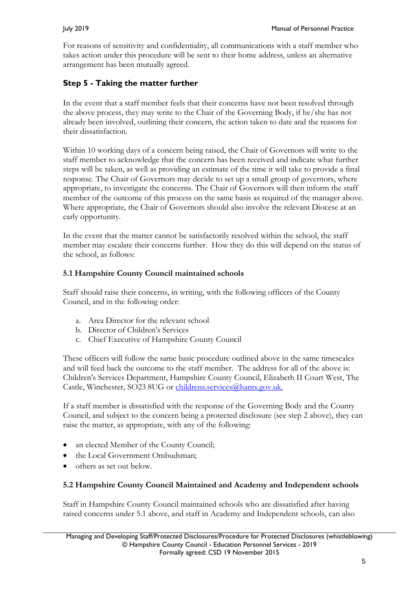For reasons of sensitivity and confidentiality, all communications with a staff member who takes action under this procedure will be sent to their home address, unless an alternative arrangement has been mutually agreed.

#### **Step 5 - Taking the matter further**

In the event that a staff member feels that their concerns have not been resolved through the above process, they may write to the Chair of the Governing Body, if he/she has not already been involved, outlining their concern, the action taken to date and the reasons for their dissatisfaction.

Within 10 working days of a concern being raised, the Chair of Governors will write to the staff member to acknowledge that the concern has been received and indicate what further steps will be taken, as well as providing an estimate of the time it will take to provide a final response. The Chair of Governors may decide to set up a small group of governors, where appropriate, to investigate the concerns. The Chair of Governors will then inform the staff member of the outcome of this process on the same basis as required of the manager above. Where appropriate, the Chair of Governors should also involve the relevant Diocese at an early opportunity.

In the event that the matter cannot be satisfactorily resolved within the school, the staff member may escalate their concerns further. How they do this will depend on the status of the school, as follows:

#### **5.1 Hampshire County Council maintained schools**

Staff should raise their concerns, in writing, with the following officers of the County Council, and in the following order:

- a. Area Director for the relevant school
- b. Director of Children's Services
- c. Chief Executive of Hampshire County Council

These officers will follow the same basic procedure outlined above in the same timescales and will feed back the outcome to the staff member. The address for all of the above is: Children's Services Department, Hampshire County Council, Elizabeth II Court West, The Castle, Winchester, SO23 8UG or [childrens.services@hants.gov.uk.](mailto:childrens.services@hants.gov.uk)

If a staff member is dissatisfied with the response of the Governing Body and the County Council, and subject to the concern being a protected disclosure (see step 2 above), they can raise the matter, as appropriate, with any of the following:

- an elected Member of the County Council;
- the Local Government Ombudsman;
- others as set out below.

#### **5.2 Hampshire County Council Maintained and Academy and Independent schools**

Staff in Hampshire County Council maintained schools who are dissatisfied after having raised concerns under 5.1 above, and staff in Academy and Independent schools, can also